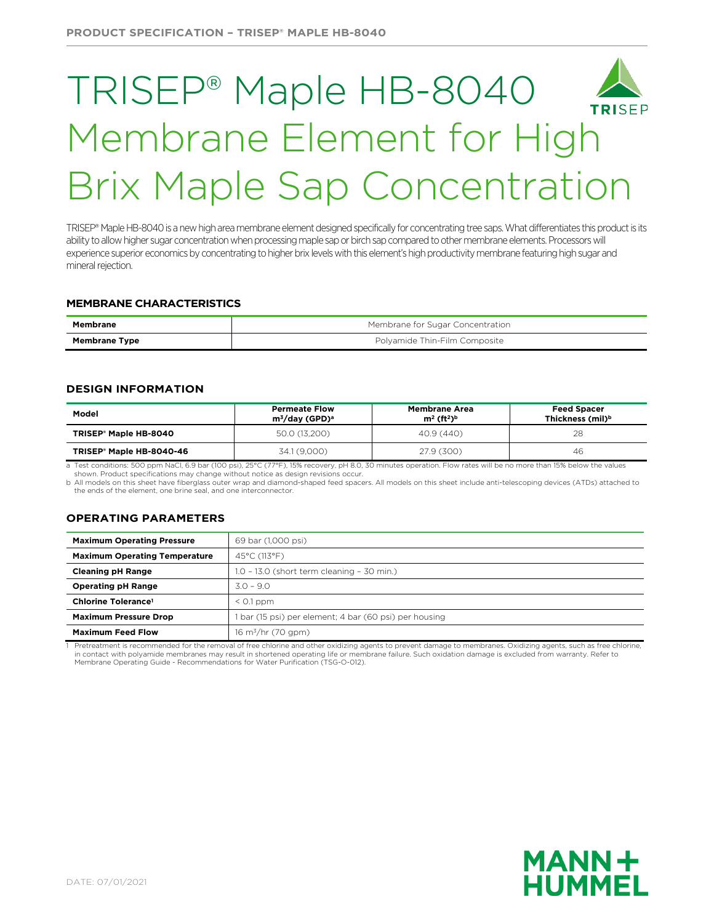# TRISEP® Maple HB-8040 Membrane Element for High Brix Maple Sap Concentration

TRISEP® Maple HB-8040 is a new high area membrane element designed specifically for concentrating tree saps. What differentiates this product is its ability to allow higher sugar concentration when processing maple sap or birch sap compared to other membrane elements. Processors will experience superior economicsby concentrating to higher brix levels with this element's high productivity membrane featuring high sugar and mineral rejection.

### **MEMBRANE CHARACTERISTICS**

| Membrane             | Membrane for Sugar Concentration |
|----------------------|----------------------------------|
| <b>Membrane Type</b> | Polyamide Thin-Film Composite    |

#### **DESIGN INFORMATION**

| Model                                | <b>Permeate Flow</b><br>$m^3$ /day (GPD) <sup>a</sup> | <b>Membrane Area</b><br>$m^2$ (ft <sup>2</sup> ) <sup>b</sup> | <b>Feed Spacer</b><br>Thickness (mil) <sup>b</sup> |  |
|--------------------------------------|-------------------------------------------------------|---------------------------------------------------------------|----------------------------------------------------|--|
| TRISEP <sup>®</sup> Maple HB-8040    | 50.0 (13,200)                                         | 40.9 (440)                                                    | 28                                                 |  |
| TRISEP <sup>®</sup> Maple HB-8040-46 | 34.1 (9,000)                                          | 27.9 (300)                                                    | 46                                                 |  |

a Test conditions: 500 ppm NaCl, 6.9 bar (100 psi), 25°C (77°F), 15% recovery, pH 8.0, 30 minutes operation. Flow rates will be no more than 15% below the values shown. Product specifications may change without notice as design revisions occur.

b All models on this sheet have fiberglass outer wrap and diamond-shaped feed spacers. All models on this sheet include anti-telescoping devices (ATDs) attached to the ends of the element, one brine seal, and one interconnector.

## **OPERATING PARAMETERS**

| <b>Maximum Operating Pressure</b>                                                    | 69 bar (1,000 psi)                         |  |  |
|--------------------------------------------------------------------------------------|--------------------------------------------|--|--|
| <b>Maximum Operating Temperature</b>                                                 | 45°C (113°F)                               |  |  |
| <b>Cleaning pH Range</b>                                                             | 1.0 - 13.0 (short term cleaning - 30 min.) |  |  |
| $3.0 - 9.0$<br><b>Operating pH Range</b>                                             |                                            |  |  |
| Chlorine Tolerance <sup>1</sup>                                                      | $< 0.1$ ppm                                |  |  |
| <b>Maximum Pressure Drop</b><br>bar (15 psi) per element; 4 bar (60 psi) per housing |                                            |  |  |
| <b>Maximum Feed Flow</b>                                                             | $16 \text{ m}^3/\text{hr}$ (70 gpm)        |  |  |

Pretreatment is recommended for the removal of free chlorine and other oxidizing agents to prevent damage to membranes. Oxidizing agents, such as free chlorine, in contact with polyamide membranes may result in shortened operating life or membrane failure. Such oxidation damage is excluded from warranty. Refer to Membrane Operating Guide - Recommendations for Water Purification (TSG-O-012).